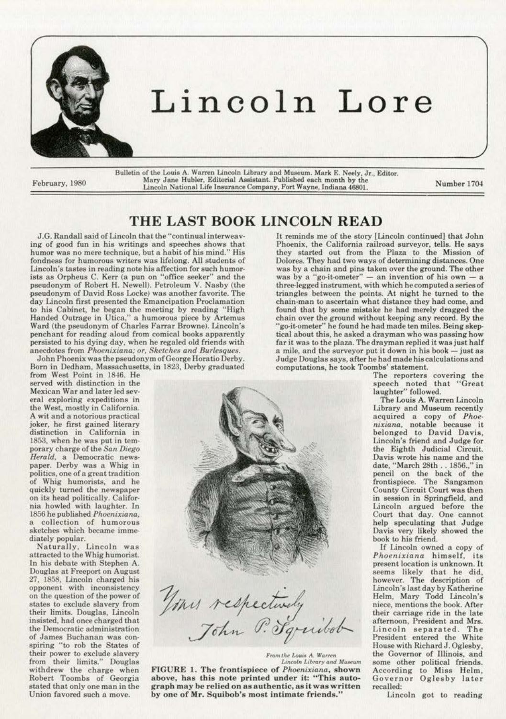

Bulletin of the Louis A. Warren Lincoln Library and Museum. Mark E. Neely, Jr., Editor. Mary Jane Hubler, Editorial Assistant. Published each month by the Eebruary, 1980 Mary Jane Hubler, Equipman Assistant. Published each month by the Number 1704 Number 1704

## **THE LAST BOOK LINCOLN READ**

**J.G. Randall said of Lincoln that the "continual interweaving of good fun in his writings and speeches shows that humor was no mere technique, but. a habit of his mind." His**  fondness for humorous writers was lifelong. All students of **Lincoln's tastes in reading note his affection for such humor**ists as Orpheus C. Kerr (a pun on "office seeker" and the pseudonym of Robert H. Newell). Petroleum V. Nasby (the **.pseudonym of David Ross Locke) was another favorite. The day Lincoln first presented the Emancipation Proclamation**  to his Cabinet., he began the meeting by reading "High **Handed Outrage in Utica," a humorous piece by Artemus**  Ward (the pseudonym of Charles Farrar Browne). Lincoln's penchant for reading aloud from comical books apparently persisted to his dying day, when he regaled old friends with **anecdotes from** *Phoenixiana; or, Sketches and Burlesques.*  John Phoenix was the pseudonym of George Horatio Derby.

Born in Dedham, Massachusetts, in 1823. Derby graduated

from West Point in 1846. He **served with distinction in the Mexican War and later Jed sev· eral expJoring expeditions in the West, mostly in California. A wit and a notorious practical**  joker, he first gained literary **distinction in California in**  1853, when he was put in temporary charge or the *San Diego Herald,* **a Democratic news·**  paper. Derby was a Whig in **polit.ics, one of a great tradition**  or Whig humorists, and he quickly turned the newspaper on its head politically. California howled with laughter. In 1856 he published *Phoenixiana.*  **a collection of humorous sketches which became imme**diately popular.

Naturally, Lincoln was attracted to the Whig humorist. In his debate with Stephen A. Douglas at Freeport on August 27, 1858, Lincoln charged his **opponent with inconsistency on the question of the power of states to exclude slavery from their Jimits. Douglas, Uncoln**  insisted, had once charged that **the Democratic administration of James Buchanan was con·**  spiring "to rob the States or **their power to exclude slavery from their limits.'' Douglas withdrew the charge when**  Robert Toombs or Georgia stated that only one man in the **Union favored such a move.** 



From the Louis A. Warren *Lincoln Library and Museum* FIGURE 1. The frontispiece of *Phoenixiana*, shown

**above, bas tbis note printed under it: '"This autograph may be relied on as authentic, as it was written**  by one of Mr. Squibob's most intimate friends."

It reminds me of the story [Lincoln continued] that John Phoenix, the California railroad surveyor, tells. He says they started out from the Plaza to the Mission of **Dolores. '!'hey had two ways of determining distances. One**  was by a chain and pins taken over the ground. The other  $w$ as by a "go-it-ometer"  $-$  an invention of his own  $-$  a three-legged instrument, with which he computed a series of triangles between the points. At night he turned to the **chain-man to ascertain what distance. they had come, and**  found that by some mistake he had merely dragged the **chain over the ground without keeping any record. By the**  'go-it-ometer" he found he had made ten miles. Being skep**tical about this, he asked a drayman who was passing how**  far it was to the plaza. The drayman replied it was just half a mile, and the surveyor put it down in his book - just as Judge Douglas says, after he had made his calculations and **computations, he took Toombs' statement.** 

**The reporters covering the**  speech noted that "Great laughter" followed.

The Louis A. Warren Lincoln Library and Museum recently acquired a copy of *Phoe· nixiana,* **notable because it.**  belonged to David Davis, Lincoln's friend and Judge for the Eighth Judicial Circuit. **Davis wrote his name and the**  date, "March 28th .. 1856.," in pencil on the back of the **frontispiece. The Sangamon**  County Circuit Court was then **in session in Springfield. and**  Lincoln argued before the Court that day. One cannot help speculating that Judge Davis very likely showed the book to his friend.

If Lincoln owned a copy of *Phoenixiona* **himself. its present location is unknown. lt**  seems likely that he did, **however. The description of**  Lincoln's last day by Katherine Helm, Mary Todd Lincoln's **niece. mentions the book. Mter their carriage ride in the ]ate afternoon, President and Mrs.**  Lincoln separated. The President entered the White House with Richard J. Oglesby, **the Governor of Illinois, and**  some other political friends. **According to Miss Helm,**  Governor Oglesby later recalled:

Lincoln got to reading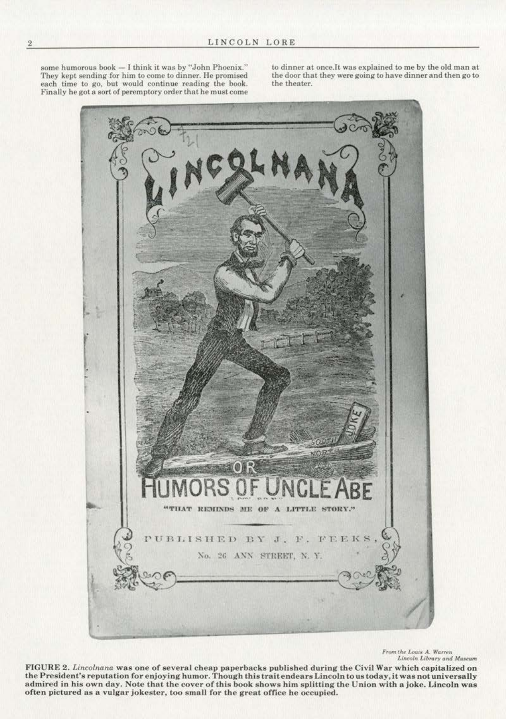some humorous book - I think it was by "John Phoenix." They kept sending for him to come to dinner. He promised each time to go, but would continue reading the book. Finally he got a sort of peremptory order that he must come

to dinner at once.Jt was explained to me by the old man at the door that they were going to have dinner and then go to the theater.



*From the Louis A. Warren*<br>Lincoln Library and Museum

FIGURE 2. *Lincolnana* was one of several cheap paperbacks published during the Civil War which capitalized on the President's reputation for enjoying humor. Though this trait endears Lincoln to us today, it was not universally admired in his own day. Note that the cover of this book shows him splitting the Union with a joke. Lincoln was often pictured as a vulgar jokester , too small for the great office be occupied.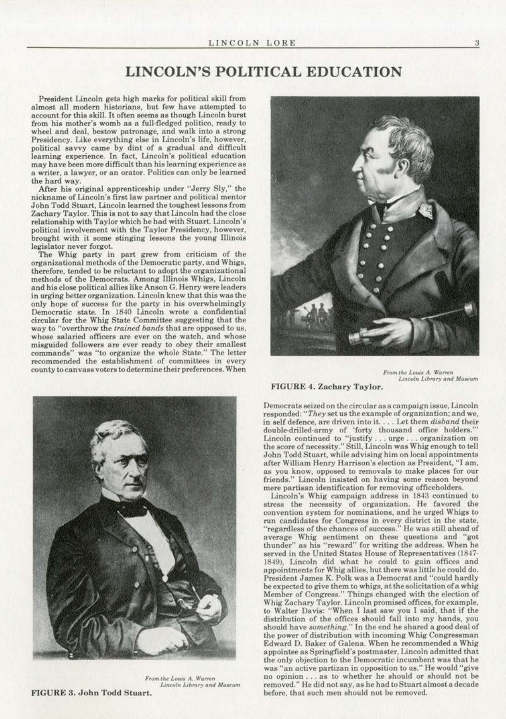## **LINCOLN'S POLITICAL EDUCATION**

President Lincoln gets high marks for political skill from almost all modern historians, but few have attempted to account for this skill. It often seems as though Lincoln burst from his mother's womb as a full-fledged politico, ready to wheel and deal, bestow patronage, and walk into a strong Presidency. Like everything else in Lincoln's life, however, political savvy came by dint of a gradual and difficult learning experience. In fact, Lincoln's political education may have been more difficult than his learning experience as a writer, a lawyer, or an orator. Politics can only be learned the hard way.

After his original apprenticeship under "Jerry Sly," the nickname of Lincoln's first law partner and political mentor John Todd Stuart, Lincoln learned the toughest lessons from Zachary Taylor. This is not to say that Lincoln had the close relationship with Taylor which he had with Stuart. Lincoln's political involvement with the Taylor Presidency, however, brought with it some stinging lessons the young Illinois legislator never forgot.

The Whig party in part grew from criticism of the organizational methods of the Democratic party, and Whigs, therefore, tended to be reluctant to adopt the organizational methods of the Democrats. Among Illinois Whigs, Lincoln and his close political allies like Anson G. Henry were leaders in urging better organization. Lincoln knew that this was the only hope of success for the party in his overwhelmingly Democratic state. In 1840 Lincoln wrote a confidential circular for the Whig State Committee suggesting that the way to "overthrow the trained bands that are opposed to us, whose salaried officers are ever on the watch, and whose misguided followers are ever ready to obey their smallest commands" was "to organize the whole State." The letter recommended the establishment of committees in every county to canvass voters to determine their preferences. When



From the Louis A. Warren Lincoln Library and Museum FIGURE 3. John Todd Stuart.



From the Louis A. Warren Lincoln Library and Museum

**FIGURE 4. Zachary Taylor.** 

Democrats seized on the circular as a campaign issue, Lincoln responded: "They set us the example of organization; and we, in self defence, are driven into it. . . . Let them disband their double-drilled-army of 'forty thousand office holders."" Lincoln continued to "justify...urge...organization on<br>the score of necessity." Still, Lincoln was Whig enough to tell John Todd Stuart, while advising him on local appointments after William Henry Harrison's election as President, "I am, as you know, opposed to removals to make places for our friends." Lincoln insisted on having some reason beyond mere partisan identification for removing officeholders.

Lincoln's Whig campaign address in 1843 continued to stress the necessity of organization. He favored the convention system for nominations, and he urged Whigs to run candidates for Congress in every district in the state, "regardless of the chances of success." He was still ahead of average Whig sentiment on these questions and "got thunder" as his "reward" for writing the address. When he served in the United States House of Representatives (1847-1849), Lincoln did what he could to gain offices and appointments for Whig allies, but there was little he could do. President James K. Polk was a Democrat and "could hardly be expected to give them to whigs, at the solicitation of a whigh<br>Member of Congress." Things changed with the election of<br>Whig Zachary Taylor. Lincoln promised offices, for example,<br>to Walter Davis: "When I last saw you I distribution of the offices should fall into my hands, you should have something." In the end he shared a good deal of the power of distribution with incoming Whig Congressman Edward D. Baker of Galena. When he recommended a Whig appointee as Springfield's postmaster, Lincoln admitted that the only objection to the Democratic incumbent was that he was "an active partizan in opposition to us." He would "give no opinion . . . as to whether he should or should not be removed." He did not say, as he had to Stuart almost a decade before, that such men should not be removed.